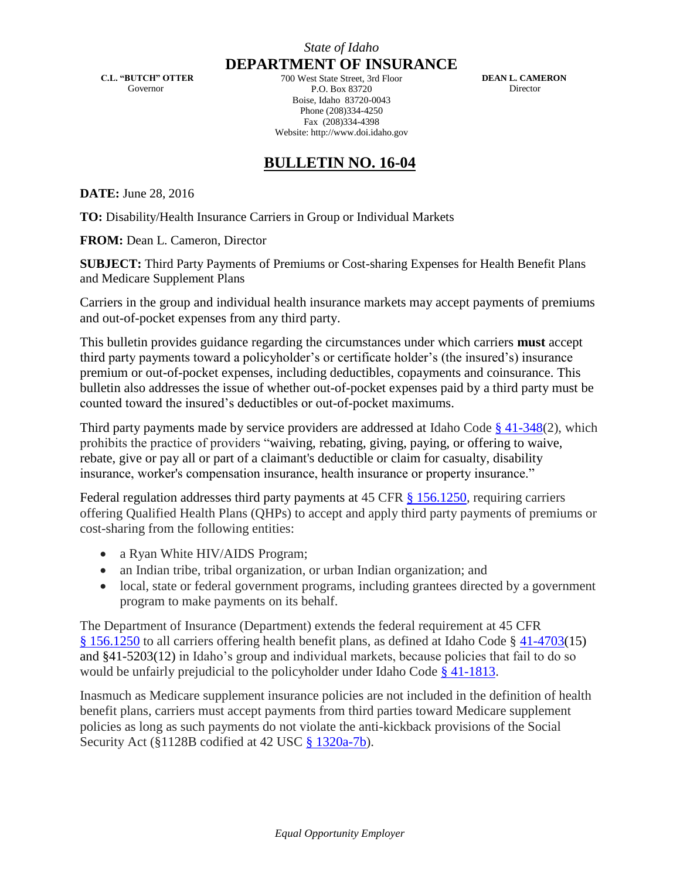**C.L. "BUTCH" OTTER** Governor

**DEPARTMENT OF INSURANCE** 700 West State Street, 3rd Floor P.O. Box 83720 Boise, Idaho 83720-0043 Phone (208)334-4250 Fax (208)334-4398 Website: http://www.doi.idaho.gov

 **DEAN L. CAMERON** Director

## **BULLETIN NO. 16-04**

**DATE:** June 28, 2016

**TO:** Disability/Health Insurance Carriers in Group or Individual Markets

**FROM:** Dean L. Cameron, Director

**SUBJECT:** Third Party Payments of Premiums or Cost-sharing Expenses for Health Benefit Plans and Medicare Supplement Plans

Carriers in the group and individual health insurance markets may accept payments of premiums and out-of-pocket expenses from any third party.

This bulletin provides guidance regarding the circumstances under which carriers **must** accept third party payments toward a policyholder's or certificate holder's (the insured's) insurance premium or out-of-pocket expenses, including deductibles, copayments and coinsurance. This bulletin also addresses the issue of whether out-of-pocket expenses paid by a third party must be counted toward the insured's deductibles or out-of-pocket maximums.

Third party payments made by service providers are addressed at Idaho Code § [41-348\(](http://legislature.idaho.gov/idstat/Title41/T41CH3SECT41-348.htm)2), which prohibits the practice of providers "waiving, rebating, giving, paying, or offering to waive, rebate, give or pay all or part of a claimant's deductible or claim for casualty, disability insurance, worker's compensation insurance, health insurance or property insurance."

Federal regulation addresses third party payments at 45 CFR § [156.1250,](http://www.ecfr.gov/cgi-bin/text-idx?SID=f45e888d15df14c7c31f8137a1c6bd22&mc=true&node=se45.1.156_11250&rgn=div8) requiring carriers offering Qualified Health Plans (QHPs) to accept and apply third party payments of premiums or cost-sharing from the following entities:

- a Ryan White HIV/AIDS Program;
- an Indian tribe, tribal organization, or urban Indian organization; and
- local, state or federal government programs, including grantees directed by a government program to make payments on its behalf.

The Department of Insurance (Department) extends the federal requirement at 45 CFR § [156.1250](http://www.ecfr.gov/cgi-bin/text-idx?SID=23e806e67e382d99c0b9fa924d20965e&mc=true&node=se45.1.156_11250&rgn=div8) to all carriers offering health benefit plans, as defined at Idaho Code § [41-4703\(](http://legislature.idaho.gov/idstat/Title41/T41CH47SECT41-4703.htm)15) and §41-5203(12) in Idaho's group and individual markets, because policies that fail to do so would be unfairly prejudicial to the policyholder under Idaho Code [§ 41-1813.](http://legislature.idaho.gov/idstat/Title41/T41CH18SECT41-1813.htm)

Inasmuch as Medicare supplement insurance policies are not included in the definition of health benefit plans, carriers must accept payments from third parties toward Medicare supplement policies as long as such payments do not violate the anti-kickback provisions of the Social Security Act (§1128B codified at 42 USC [§ 1320a-7b\)](https://www.law.cornell.edu/uscode/text/42/1320a-7b).